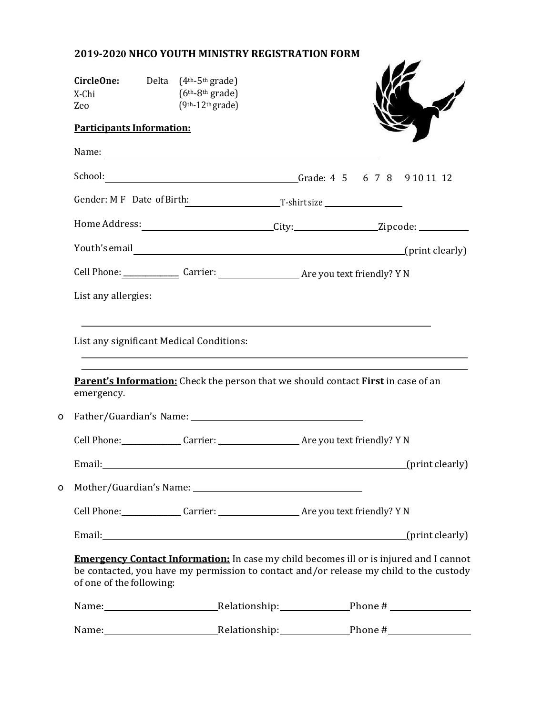## **2019-2020 NHCO YOUTH MINISTRY REGISTRATION FORM**

|   | <b>CircleOne:</b> Delta $(4th-5th \text{ grade})$<br>X-Chi<br>Zeo                                                                                                                                                   | $(6th-8th grade)$<br>$(9th-12th grade)$ |  |                                                                                                     |  |
|---|---------------------------------------------------------------------------------------------------------------------------------------------------------------------------------------------------------------------|-----------------------------------------|--|-----------------------------------------------------------------------------------------------------|--|
|   | <b>Participants Information:</b>                                                                                                                                                                                    |                                         |  |                                                                                                     |  |
|   |                                                                                                                                                                                                                     |                                         |  |                                                                                                     |  |
|   | School:                                                                                                                                                                                                             |                                         |  | Grade: 4 5 6 7 8 9 10 11 12                                                                         |  |
|   | Gender: M F Date of Birth: T-shirt size                                                                                                                                                                             |                                         |  |                                                                                                     |  |
|   |                                                                                                                                                                                                                     |                                         |  | Home Address: _______________________________City:_____________________Zipcode: ___________________ |  |
|   |                                                                                                                                                                                                                     |                                         |  |                                                                                                     |  |
|   |                                                                                                                                                                                                                     |                                         |  |                                                                                                     |  |
|   | List any allergies:                                                                                                                                                                                                 |                                         |  |                                                                                                     |  |
|   |                                                                                                                                                                                                                     |                                         |  |                                                                                                     |  |
|   | List any significant Medical Conditions:                                                                                                                                                                            |                                         |  |                                                                                                     |  |
|   |                                                                                                                                                                                                                     |                                         |  |                                                                                                     |  |
|   | Parent's Information: Check the person that we should contact First in case of an<br>emergency.                                                                                                                     |                                         |  |                                                                                                     |  |
| 0 |                                                                                                                                                                                                                     |                                         |  |                                                                                                     |  |
|   | Cell Phone: Carrier: Carrier: Are you text friendly? Y N                                                                                                                                                            |                                         |  |                                                                                                     |  |
|   |                                                                                                                                                                                                                     |                                         |  | Email: (print clearly)                                                                              |  |
| o |                                                                                                                                                                                                                     |                                         |  |                                                                                                     |  |
|   | Cell Phone: Carrier: Carrier: Are you text friendly? Y N                                                                                                                                                            |                                         |  |                                                                                                     |  |
|   |                                                                                                                                                                                                                     |                                         |  | Email: (print clearly)                                                                              |  |
|   | <b>Emergency Contact Information:</b> In case my child becomes ill or is injured and I cannot<br>be contacted, you have my permission to contact and/or release my child to the custody<br>of one of the following: |                                         |  |                                                                                                     |  |
|   |                                                                                                                                                                                                                     |                                         |  |                                                                                                     |  |
|   |                                                                                                                                                                                                                     |                                         |  |                                                                                                     |  |